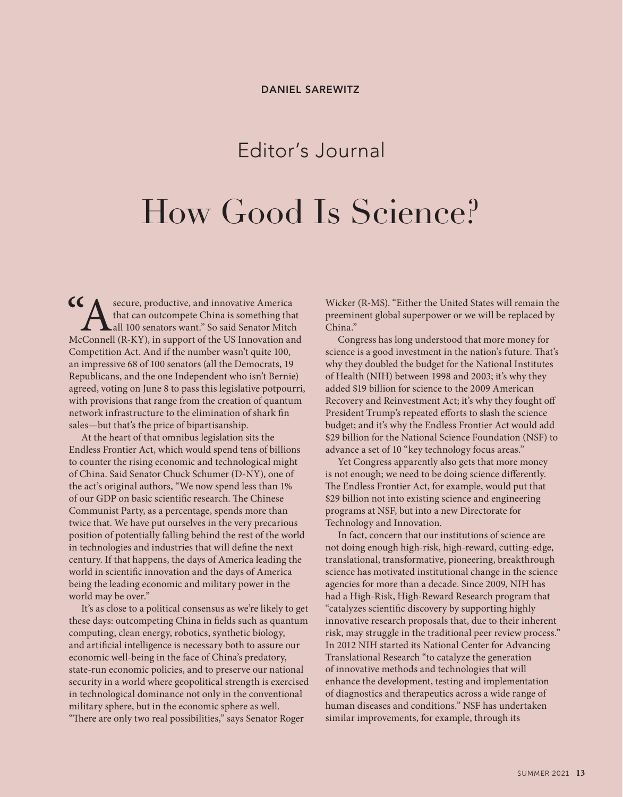## Editor's Journal

## How Good Is Science?

 $\mathsf{CC}_\blacktriangle$  secure, productive, and innovative America that can outcompete China is something that all 100 senators want." So said Senator Mitch McConnell (R-KY), in support of the US Innovation and Competition Act. And if the number wasn't quite 100, an impressive 68 of 100 senators (all the Democrats, 19 Republicans, and the one Independent who isn't Bernie) agreed, voting on June 8 to pass this legislative potpourri, with provisions that range from the creation of quantum network infrastructure to the elimination of shark fin sales—but that's the price of bipartisanship.

At the heart of that omnibus legislation sits the Endless Frontier Act, which would spend tens of billions to counter the rising economic and technological might of China. Said Senator Chuck Schumer (D-NY), one of the act's original authors, "We now spend less than 1% of our GDP on basic scientific research. The Chinese Communist Party, as a percentage, spends more than twice that. We have put ourselves in the very precarious position of potentially falling behind the rest of the world in technologies and industries that will define the next century. If that happens, the days of America leading the world in scientific innovation and the days of America being the leading economic and military power in the world may be over."

It's as close to a political consensus as we're likely to get these days: outcompeting China in fields such as quantum computing, clean energy, robotics, synthetic biology, and artificial intelligence is necessary both to assure our economic well-being in the face of China's predatory, state-run economic policies, and to preserve our national security in a world where geopolitical strength is exercised in technological dominance not only in the conventional military sphere, but in the economic sphere as well. "There are only two real possibilities," says Senator Roger

Wicker (R-MS). "Either the United States will remain the preeminent global superpower or we will be replaced by China."

Congress has long understood that more money for science is a good investment in the nation's future. That's why they doubled the budget for the National Institutes of Health (NIH) between 1998 and 2003; it's why they added \$19 billion for science to the 2009 American Recovery and Reinvestment Act; it's why they fought off President Trump's repeated efforts to slash the science budget; and it's why the Endless Frontier Act would add \$29 billion for the National Science Foundation (NSF) to advance a set of 10 "key technology focus areas."

Yet Congress apparently also gets that more money is not enough; we need to be doing science differently. The Endless Frontier Act, for example, would put that \$29 billion not into existing science and engineering programs at NSF, but into a new Directorate for Technology and Innovation.

In fact, concern that our institutions of science are not doing enough high-risk, high-reward, cutting-edge, translational, transformative, pioneering, breakthrough science has motivated institutional change in the science agencies for more than a decade. Since 2009, NIH has had a High-Risk, High-Reward Research program that "catalyzes scientific discovery by supporting highly innovative research proposals that, due to their inherent risk, may struggle in the traditional peer review process." In 2012 NIH started its National Center for Advancing Translational Research "to catalyze the generation of innovative methods and technologies that will enhance the development, testing and implementation of diagnostics and therapeutics across a wide range of human diseases and conditions." NSF has undertaken similar improvements, for example, through its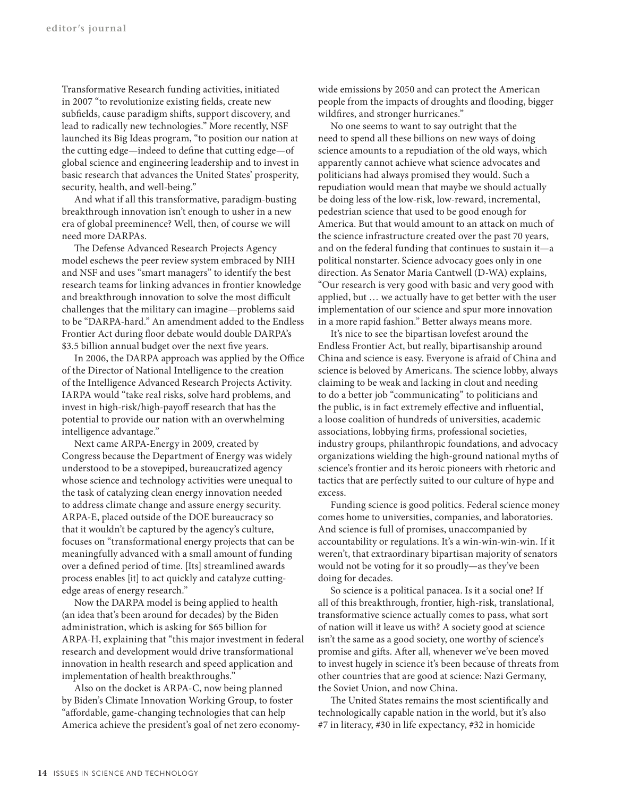Transformative Research funding activities, initiated in 2007 "to revolutionize existing fields, create new subfields, cause paradigm shifts, support discovery, and lead to radically new technologies." More recently, NSF launched its Big Ideas program, "to position our nation at the cutting edge—indeed to define that cutting edge—of global science and engineering leadership and to invest in basic research that advances the United States' prosperity, security, health, and well-being."

And what if all this transformative, paradigm-busting breakthrough innovation isn't enough to usher in a new era of global preeminence? Well, then, of course we will need more DARPAs.

The Defense Advanced Research Projects Agency model eschews the peer review system embraced by NIH and NSF and uses "smart managers" to identify the best research teams for linking advances in frontier knowledge and breakthrough innovation to solve the most difficult challenges that the military can imagine—problems said to be "DARPA-hard." An amendment added to the Endless Frontier Act during floor debate would double DARPA's \$3.5 billion annual budget over the next five years.

In 2006, the DARPA approach was applied by the Office of the Director of National Intelligence to the creation of the Intelligence Advanced Research Projects Activity. IARPA would "take real risks, solve hard problems, and invest in high-risk/high-payoff research that has the potential to provide our nation with an overwhelming intelligence advantage."

Next came ARPA-Energy in 2009, created by Congress because the Department of Energy was widely understood to be a stovepiped, bureaucratized agency whose science and technology activities were unequal to the task of catalyzing clean energy innovation needed to address climate change and assure energy security. ARPA-E, placed outside of the DOE bureaucracy so that it wouldn't be captured by the agency's culture, focuses on "transformational energy projects that can be meaningfully advanced with a small amount of funding over a defined period of time. [Its] streamlined awards process enables [it] to act quickly and catalyze cuttingedge areas of energy research."

Now the DARPA model is being applied to health (an idea that's been around for decades) by the Biden administration, which is asking for \$65 billion for ARPA-H, explaining that "this major investment in federal research and development would drive transformational innovation in health research and speed application and implementation of health breakthroughs."

Also on the docket is ARPA-C, now being planned by Biden's Climate Innovation Working Group, to foster "affordable, game-changing technologies that can help America achieve the president's goal of net zero economywide emissions by 2050 and can protect the American people from the impacts of droughts and flooding, bigger wildfires, and stronger hurricanes."

No one seems to want to say outright that the need to spend all these billions on new ways of doing science amounts to a repudiation of the old ways, which apparently cannot achieve what science advocates and politicians had always promised they would. Such a repudiation would mean that maybe we should actually be doing less of the low-risk, low-reward, incremental, pedestrian science that used to be good enough for America. But that would amount to an attack on much of the science infrastructure created over the past 70 years, and on the federal funding that continues to sustain it—a political nonstarter. Science advocacy goes only in one direction. As Senator Maria Cantwell (D-WA) explains, "Our research is very good with basic and very good with applied, but … we actually have to get better with the user implementation of our science and spur more innovation in a more rapid fashion." Better always means more.

It's nice to see the bipartisan lovefest around the Endless Frontier Act, but really, bipartisanship around China and science is easy. Everyone is afraid of China and science is beloved by Americans. The science lobby, always claiming to be weak and lacking in clout and needing to do a better job "communicating" to politicians and the public, is in fact extremely effective and influential, a loose coalition of hundreds of universities, academic associations, lobbying firms, professional societies, industry groups, philanthropic foundations, and advocacy organizations wielding the high-ground national myths of science's frontier and its heroic pioneers with rhetoric and tactics that are perfectly suited to our culture of hype and excess.

Funding science is good politics. Federal science money comes home to universities, companies, and laboratories. And science is full of promises, unaccompanied by accountability or regulations. It's a win-win-win-win. If it weren't, that extraordinary bipartisan majority of senators would not be voting for it so proudly—as they've been doing for decades.

So science is a political panacea. Is it a social one? If all of this breakthrough, frontier, high-risk, translational, transformative science actually comes to pass, what sort of nation will it leave us with? A society good at science isn't the same as a good society, one worthy of science's promise and gifts. After all, whenever we've been moved to invest hugely in science it's been because of threats from other countries that are good at science: Nazi Germany, the Soviet Union, and now China.

The United States remains the most scientifically and technologically capable nation in the world, but it's also #7 in literacy, #30 in life expectancy, #32 in homicide